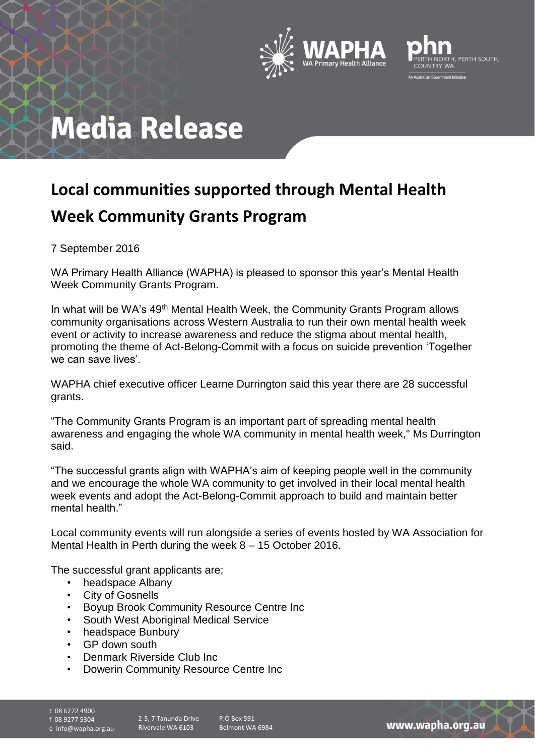



# **Media Release**

### **Local communities supported through Mental Health Week Community Grants Program**

7 September 2016

WA Primary Health Alliance (WAPHA) is pleased to sponsor this year's Mental Health Week Community Grants Program.

In what will be WA's 49<sup>th</sup> Mental Health Week, the Community Grants Program allows community organisations across Western Australia to run their own mental health week event or activity to increase awareness and reduce the stigma about mental health, promoting the theme of Act-Belong-Commit with a focus on suicide prevention 'Together we can save lives'.

WAPHA chief executive officer Learne Durrington said this year there are 28 successful grants.

"The Community Grants Program is an important part of spreading mental health awareness and engaging the whole WA community in mental health week," Ms Durrington said.

"The successful grants align with WAPHA's aim of keeping people well in the community and we encourage the whole WA community to get involved in their local mental health week events and adopt the Act-Belong-Commit approach to build and maintain better mental health."

Local community events will run alongside a series of events hosted by WA Association for Mental Health in Perth during the week 8 – 15 October 2016.

The successful grant applicants are;

- headspace Albany
- City of Gosnells
- Boyup Brook Community Resource Centre Inc
- South West Aboriginal Medical Service
- headspace Bunbury
- GP down south
- Denmark Riverside Club Inc
- Dowerin Community Resource Centre Inc
- 

t 08 6272 4900 f 08 9277 5304

e info@wapha.org.au

2-5, 7 Tanunda Drive Rivervale WA 6103

P.O Box 591 Belmont WA 6984